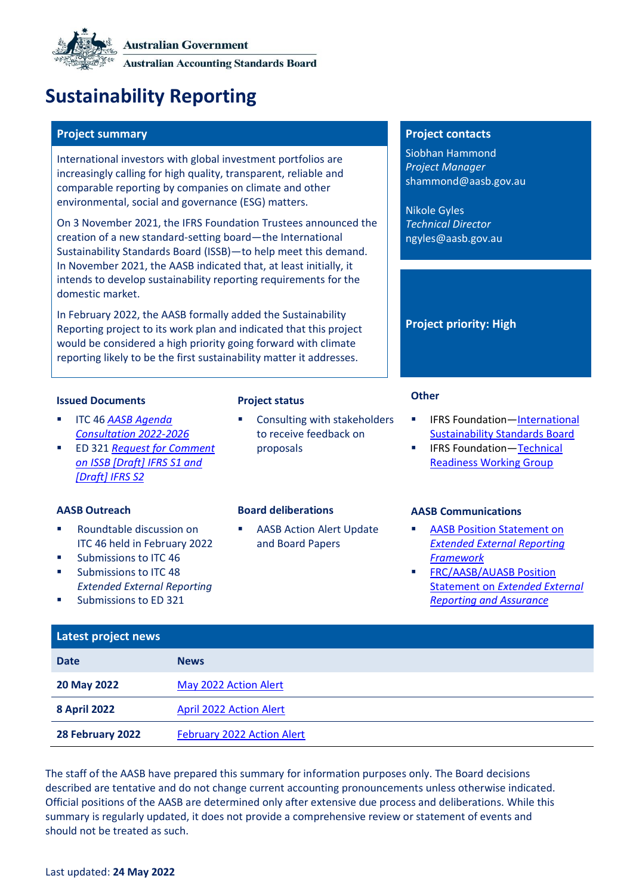# **Sustainability Reporting**

# **Project summary Project contacts**

International investors with global investment portfolios are increasingly calling for high quality, transparent, reliable and comparable reporting by companies on climate and other environmental, social and governance (ESG) matters.

On 3 November 2021, the IFRS Foundation Trustees announced the creation of a new standard-setting board—the International Sustainability Standards Board (ISSB)—to help meet this demand. In November 2021, the AASB indicated that, at least initially, it intends to develop sustainability reporting requirements for the domestic market.

In February 2022, the AASB formally added the Sustainability Reporting project to its work plan and indicated that this project would be considered a high priority going forward with climate reporting likely to be the first sustainability matter it addresses.

# **Issued Documents Project status Other**

- ITC 46 *[AASB Agenda](https://www.aasb.gov.au/admin/file/content105/c9/ITC46_10-21.pdf)  [Consultation 2022-2026](https://www.aasb.gov.au/admin/file/content105/c9/ITC46_10-21.pdf)*
- ED 321 *[Request for Comment](https://www.aasb.gov.au/admin/file/content105/c9/ACCED321-04-21.pdf)  [on ISSB \[Draft\] IFRS S1 and](https://www.aasb.gov.au/admin/file/content105/c9/ACCED321-04-21.pdf)  [\[Draft\] IFRS S2](https://www.aasb.gov.au/admin/file/content105/c9/ACCED321-04-21.pdf)*

- Roundtable discussion on ITC 46 held in February 2022
- Submissions to ITC 46
- Submissions to ITC 48 *Extended External Reporting*
- Submissions to ED 321

Consulting with stakeholders to receive feedback on proposals

**AASB Action Alert Update** [and Board Papers](#page-2-0)

Siobhan Hammond *Project Manager* shammond@aasb.gov.au

Nikole Gyles *Technical Director* ngyles@aasb.gov.au

# **Project priority: High**

- IFRS Foundation—International [Sustainability Standards Board](https://www.ifrs.org/groups/international-sustainability-standards-board/)
- **IFRS Foundation—Technical** [Readiness Working Group](https://www.ifrs.org/groups/technical-readiness-working-group/)

### **AASB Outreach Board deliberations AASB Communications**

- **AASB Position Statement on** *[Extended External Reporting](https://www.aasb.gov.au/media/vplbo3kx/positionstatement_eer_framework_03-22.pdf)  [Framework](https://www.aasb.gov.au/media/vplbo3kx/positionstatement_eer_framework_03-22.pdf)*
- **[FRC/AASB/AUASB](https://www.aasb.gov.au/media/a3yn1thj/jointaasb_auasb_frc_policypositionstatement-11-21.pdf) Position** Statement on *[Extended External](https://www.aasb.gov.au/media/a3yn1thj/jointaasb_auasb_frc_policypositionstatement-11-21.pdf)  [Reporting and Assurance](https://www.aasb.gov.au/media/a3yn1thj/jointaasb_auasb_frc_policypositionstatement-11-21.pdf)*

| Latest project news |                                   |
|---------------------|-----------------------------------|
| <b>Date</b>         | <b>News</b>                       |
| 20 May 2022         | May 2022 Action Alert             |
| <b>8 April 2022</b> | <b>April 2022 Action Alert</b>    |
| 28 February 2022    | <b>February 2022 Action Alert</b> |

The staff of the AASB have prepared this summary for information purposes only. The Board decisions described are tentative and do not change current accounting pronouncements unless otherwise indicated. Official positions of the AASB are determined only after extensive due process and deliberations. While this summary is regularly updated, it does not provide a comprehensive review or statement of events and should not be treated as such.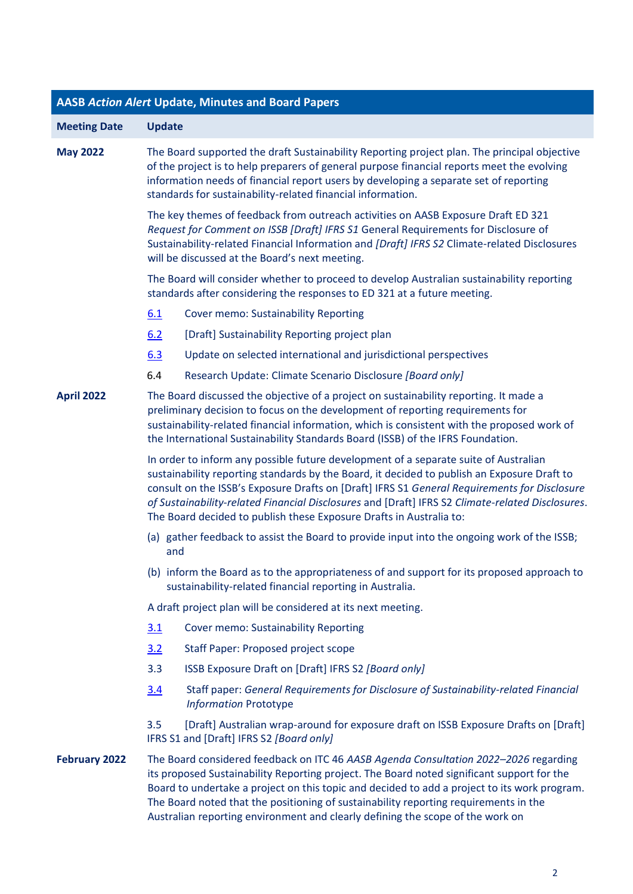| <b>AASB Action Alert Update, Minutes and Board Papers</b> |                                                                                                                                                                                                                                                                                                                                                                                                                                                                |                                                                                                                                                                                                                                                                                                                                                                                                                                                              |  |
|-----------------------------------------------------------|----------------------------------------------------------------------------------------------------------------------------------------------------------------------------------------------------------------------------------------------------------------------------------------------------------------------------------------------------------------------------------------------------------------------------------------------------------------|--------------------------------------------------------------------------------------------------------------------------------------------------------------------------------------------------------------------------------------------------------------------------------------------------------------------------------------------------------------------------------------------------------------------------------------------------------------|--|
| <b>Meeting Date</b>                                       | <b>Update</b>                                                                                                                                                                                                                                                                                                                                                                                                                                                  |                                                                                                                                                                                                                                                                                                                                                                                                                                                              |  |
| <b>May 2022</b>                                           | The Board supported the draft Sustainability Reporting project plan. The principal objective<br>of the project is to help preparers of general purpose financial reports meet the evolving<br>information needs of financial report users by developing a separate set of reporting<br>standards for sustainability-related financial information.                                                                                                             |                                                                                                                                                                                                                                                                                                                                                                                                                                                              |  |
|                                                           | The key themes of feedback from outreach activities on AASB Exposure Draft ED 321<br>Request for Comment on ISSB [Draft] IFRS S1 General Requirements for Disclosure of<br>Sustainability-related Financial Information and [Draft] IFRS S2 Climate-related Disclosures<br>will be discussed at the Board's next meeting.                                                                                                                                      |                                                                                                                                                                                                                                                                                                                                                                                                                                                              |  |
|                                                           | The Board will consider whether to proceed to develop Australian sustainability reporting<br>standards after considering the responses to ED 321 at a future meeting.                                                                                                                                                                                                                                                                                          |                                                                                                                                                                                                                                                                                                                                                                                                                                                              |  |
|                                                           | 6.1                                                                                                                                                                                                                                                                                                                                                                                                                                                            | <b>Cover memo: Sustainability Reporting</b>                                                                                                                                                                                                                                                                                                                                                                                                                  |  |
|                                                           | 6.2                                                                                                                                                                                                                                                                                                                                                                                                                                                            | [Draft] Sustainability Reporting project plan                                                                                                                                                                                                                                                                                                                                                                                                                |  |
|                                                           | 6.3                                                                                                                                                                                                                                                                                                                                                                                                                                                            | Update on selected international and jurisdictional perspectives                                                                                                                                                                                                                                                                                                                                                                                             |  |
|                                                           | 6.4                                                                                                                                                                                                                                                                                                                                                                                                                                                            | Research Update: Climate Scenario Disclosure [Board only]                                                                                                                                                                                                                                                                                                                                                                                                    |  |
| <b>April 2022</b>                                         | The Board discussed the objective of a project on sustainability reporting. It made a<br>preliminary decision to focus on the development of reporting requirements for<br>sustainability-related financial information, which is consistent with the proposed work of<br>the International Sustainability Standards Board (ISSB) of the IFRS Foundation.                                                                                                      |                                                                                                                                                                                                                                                                                                                                                                                                                                                              |  |
|                                                           | In order to inform any possible future development of a separate suite of Australian<br>sustainability reporting standards by the Board, it decided to publish an Exposure Draft to<br>consult on the ISSB's Exposure Drafts on [Draft] IFRS S1 General Requirements for Disclosure<br>of Sustainability-related Financial Disclosures and [Draft] IFRS S2 Climate-related Disclosures.<br>The Board decided to publish these Exposure Drafts in Australia to: |                                                                                                                                                                                                                                                                                                                                                                                                                                                              |  |
|                                                           | and                                                                                                                                                                                                                                                                                                                                                                                                                                                            | (a) gather feedback to assist the Board to provide input into the ongoing work of the ISSB;                                                                                                                                                                                                                                                                                                                                                                  |  |
|                                                           | (b) inform the Board as to the appropriateness of and support for its proposed approach to<br>sustainability-related financial reporting in Australia.<br>A draft project plan will be considered at its next meeting.                                                                                                                                                                                                                                         |                                                                                                                                                                                                                                                                                                                                                                                                                                                              |  |
|                                                           |                                                                                                                                                                                                                                                                                                                                                                                                                                                                |                                                                                                                                                                                                                                                                                                                                                                                                                                                              |  |
|                                                           | 3.1                                                                                                                                                                                                                                                                                                                                                                                                                                                            | <b>Cover memo: Sustainability Reporting</b>                                                                                                                                                                                                                                                                                                                                                                                                                  |  |
|                                                           | 3.2                                                                                                                                                                                                                                                                                                                                                                                                                                                            | Staff Paper: Proposed project scope                                                                                                                                                                                                                                                                                                                                                                                                                          |  |
|                                                           | 3.3                                                                                                                                                                                                                                                                                                                                                                                                                                                            | ISSB Exposure Draft on [Draft] IFRS S2 [Board only]                                                                                                                                                                                                                                                                                                                                                                                                          |  |
|                                                           | 3.4                                                                                                                                                                                                                                                                                                                                                                                                                                                            | Staff paper: General Requirements for Disclosure of Sustainability-related Financial<br><b>Information Prototype</b>                                                                                                                                                                                                                                                                                                                                         |  |
|                                                           | 3.5                                                                                                                                                                                                                                                                                                                                                                                                                                                            | [Draft] Australian wrap-around for exposure draft on ISSB Exposure Drafts on [Draft]<br>IFRS S1 and [Draft] IFRS S2 [Board only]                                                                                                                                                                                                                                                                                                                             |  |
| <b>February 2022</b>                                      |                                                                                                                                                                                                                                                                                                                                                                                                                                                                | The Board considered feedback on ITC 46 AASB Agenda Consultation 2022-2026 regarding<br>its proposed Sustainability Reporting project. The Board noted significant support for the<br>Board to undertake a project on this topic and decided to add a project to its work program.<br>The Board noted that the positioning of sustainability reporting requirements in the<br>Australian reporting environment and clearly defining the scope of the work on |  |